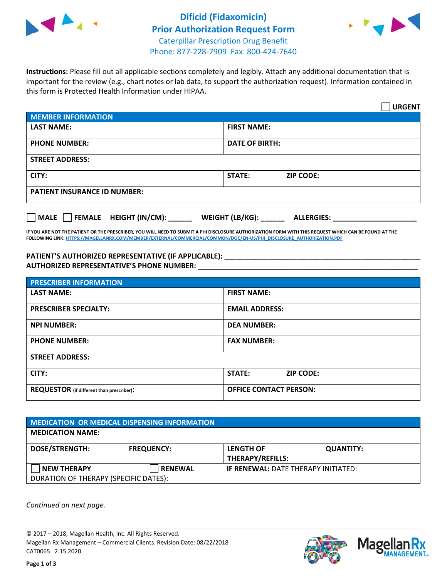



**Instructions:** Please fill out all applicable sections completely and legibly. Attach any additional documentation that is important for the review (e.g., chart notes or lab data, to support the authorization request). Information contained in this form is Protected Health Information under HIPAA.

|                                                | <b>URGENT</b>                        |  |  |  |
|------------------------------------------------|--------------------------------------|--|--|--|
| <b>MEMBER INFORMATION</b>                      |                                      |  |  |  |
| <b>LAST NAME:</b>                              | <b>FIRST NAME:</b>                   |  |  |  |
| <b>PHONE NUMBER:</b>                           | <b>DATE OF BIRTH:</b>                |  |  |  |
| <b>STREET ADDRESS:</b>                         |                                      |  |  |  |
| CITY:                                          | <b>STATE:</b><br><b>ZIP CODE:</b>    |  |  |  |
| <b>PATIENT INSURANCE ID NUMBER:</b>            |                                      |  |  |  |
| $\Box$ FEMALE HEIGHT (IN/CM): _<br><b>MALE</b> | WEIGHT (LB/KG):<br><b>ALLERGIES:</b> |  |  |  |

**IF YOU ARE NOT THE PATIENT OR THE PRESCRIBER, YOU WILL NEED TO SUBMIT A PHI DISCLOSURE AUTHORIZATION FORM WITH THIS REQUEST WHICH CAN BE FOUND AT THE FOLLOWING LINK[: HTTPS://MAGELLANRX.COM/MEMBER/EXTERNAL/COMMERCIAL/COMMON/DOC/EN-US/PHI\\_DISCLOSURE\\_AUTHORIZATION.PDF](https://magellanrx.com/member/external/commercial/common/doc/en-us/PHI_Disclosure_Authorization.pdf)**

PATIENT'S AUTHORIZED REPRESENTATIVE (IF APPLICABLE): \_\_\_\_\_\_\_\_\_\_\_\_\_\_\_\_\_\_\_\_\_\_\_\_\_\_\_ **AUTHORIZED REPRESENTATIVE'S PHONE NUMBER:** \_\_\_\_\_\_\_\_\_\_\_\_\_\_\_\_\_\_\_\_\_\_\_\_\_\_\_\_\_\_\_\_\_\_\_\_\_\_\_\_\_\_\_\_\_\_\_\_\_\_\_\_\_\_\_

| <b>PRESCRIBER INFORMATION</b>             |                               |  |  |  |
|-------------------------------------------|-------------------------------|--|--|--|
| <b>LAST NAME:</b>                         | <b>FIRST NAME:</b>            |  |  |  |
| <b>PRESCRIBER SPECIALTY:</b>              | <b>EMAIL ADDRESS:</b>         |  |  |  |
| <b>NPI NUMBER:</b>                        | <b>DEA NUMBER:</b>            |  |  |  |
| <b>PHONE NUMBER:</b>                      | <b>FAX NUMBER:</b>            |  |  |  |
| <b>STREET ADDRESS:</b>                    |                               |  |  |  |
| CITY:                                     | STATE:<br><b>ZIP CODE:</b>    |  |  |  |
| REQUESTOR (if different than prescriber): | <b>OFFICE CONTACT PERSON:</b> |  |  |  |

| <b>MEDICATION OR MEDICAL DISPENSING INFORMATION</b> |                   |                                            |                  |  |  |
|-----------------------------------------------------|-------------------|--------------------------------------------|------------------|--|--|
| <b>MEDICATION NAME:</b>                             |                   |                                            |                  |  |  |
| <b>DOSE/STRENGTH:</b>                               | <b>FREQUENCY:</b> | <b>LENGTH OF</b>                           | <b>QUANTITY:</b> |  |  |
|                                                     |                   | <b>THERAPY/REFILLS:</b>                    |                  |  |  |
| <b>NEW THERAPY</b>                                  | <b>RENEWAL</b>    | <b>IF RENEWAL: DATE THERAPY INITIATED:</b> |                  |  |  |
| DURATION OF THERAPY (SPECIFIC DATES):               |                   |                                            |                  |  |  |

*Continued on next page.*

© 2017 – 2018, Magellan Health, Inc. All Rights Reserved. Magellan Rx Management – Commercial Clients. Revision Date: 08/22/2018 CAT0065 2.15.2020



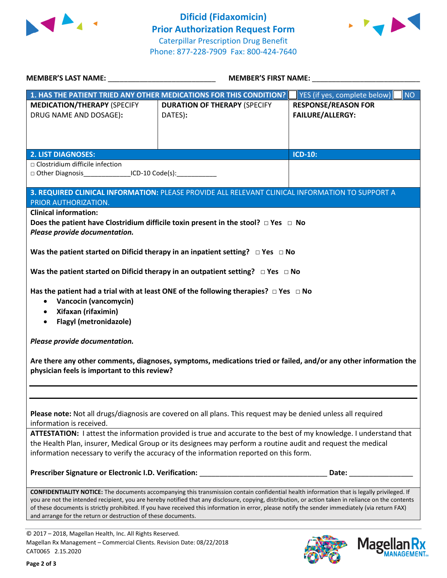



| MEMBER'S LAST NAME: NAME:                                                                                                                                                                                                          | <b>MEMBER'S FIRST NAME:</b>                                                                                                                         |                                                                                                                                                                                                                                |  |  |
|------------------------------------------------------------------------------------------------------------------------------------------------------------------------------------------------------------------------------------|-----------------------------------------------------------------------------------------------------------------------------------------------------|--------------------------------------------------------------------------------------------------------------------------------------------------------------------------------------------------------------------------------|--|--|
|                                                                                                                                                                                                                                    | 1. HAS THE PATIENT TRIED ANY OTHER MEDICATIONS FOR THIS CONDITION?                                                                                  | YES (if yes, complete below)<br>NO                                                                                                                                                                                             |  |  |
| <b>MEDICATION/THERAPY (SPECIFY</b>                                                                                                                                                                                                 | <b>DURATION OF THERAPY (SPECIFY</b>                                                                                                                 | <b>RESPONSE/REASON FOR</b>                                                                                                                                                                                                     |  |  |
| DRUG NAME AND DOSAGE):                                                                                                                                                                                                             | DATES):                                                                                                                                             | <b>FAILURE/ALLERGY:</b>                                                                                                                                                                                                        |  |  |
|                                                                                                                                                                                                                                    |                                                                                                                                                     |                                                                                                                                                                                                                                |  |  |
|                                                                                                                                                                                                                                    |                                                                                                                                                     |                                                                                                                                                                                                                                |  |  |
| <b>2. LIST DIAGNOSES:</b>                                                                                                                                                                                                          |                                                                                                                                                     | <b>ICD-10:</b>                                                                                                                                                                                                                 |  |  |
| □ Clostridium difficile infection                                                                                                                                                                                                  |                                                                                                                                                     |                                                                                                                                                                                                                                |  |  |
| □ Other Diagnosis _________________ICD-10 Code(s): ____________________________                                                                                                                                                    |                                                                                                                                                     |                                                                                                                                                                                                                                |  |  |
|                                                                                                                                                                                                                                    | 3. REQUIRED CLINICAL INFORMATION: PLEASE PROVIDE ALL RELEVANT CLINICAL INFORMATION TO SUPPORT A                                                     |                                                                                                                                                                                                                                |  |  |
| PRIOR AUTHORIZATION.                                                                                                                                                                                                               |                                                                                                                                                     |                                                                                                                                                                                                                                |  |  |
| <b>Clinical information:</b>                                                                                                                                                                                                       | Does the patient have Clostridium difficile toxin present in the stool? $\Box$ Yes $\Box$ No                                                        |                                                                                                                                                                                                                                |  |  |
| Please provide documentation.                                                                                                                                                                                                      |                                                                                                                                                     |                                                                                                                                                                                                                                |  |  |
| Was the patient started on Dificid therapy in an inpatient setting? $\Box$ Yes $\Box$ No                                                                                                                                           |                                                                                                                                                     |                                                                                                                                                                                                                                |  |  |
| Was the patient started on Dificid therapy in an outpatient setting? $\Box$ Yes $\Box$ No                                                                                                                                          |                                                                                                                                                     |                                                                                                                                                                                                                                |  |  |
|                                                                                                                                                                                                                                    | Has the patient had a trial with at least ONE of the following therapies? $\Box$ Yes $\Box$ No                                                      |                                                                                                                                                                                                                                |  |  |
| Vancocin (vancomycin)<br>$\bullet$                                                                                                                                                                                                 |                                                                                                                                                     |                                                                                                                                                                                                                                |  |  |
| Xifaxan (rifaximin)<br>$\bullet$                                                                                                                                                                                                   |                                                                                                                                                     |                                                                                                                                                                                                                                |  |  |
| <b>Flagyl (metronidazole)</b><br>$\bullet$                                                                                                                                                                                         |                                                                                                                                                     |                                                                                                                                                                                                                                |  |  |
| Please provide documentation.                                                                                                                                                                                                      |                                                                                                                                                     |                                                                                                                                                                                                                                |  |  |
|                                                                                                                                                                                                                                    |                                                                                                                                                     |                                                                                                                                                                                                                                |  |  |
| physician feels is important to this review?                                                                                                                                                                                       | Are there any other comments, diagnoses, symptoms, medications tried or failed, and/or any other information the                                    |                                                                                                                                                                                                                                |  |  |
|                                                                                                                                                                                                                                    |                                                                                                                                                     |                                                                                                                                                                                                                                |  |  |
|                                                                                                                                                                                                                                    |                                                                                                                                                     |                                                                                                                                                                                                                                |  |  |
|                                                                                                                                                                                                                                    |                                                                                                                                                     |                                                                                                                                                                                                                                |  |  |
| Please note: Not all drugs/diagnosis are covered on all plans. This request may be denied unless all required                                                                                                                      |                                                                                                                                                     |                                                                                                                                                                                                                                |  |  |
| information is received.                                                                                                                                                                                                           |                                                                                                                                                     |                                                                                                                                                                                                                                |  |  |
| ATTESTATION: I attest the information provided is true and accurate to the best of my knowledge. I understand that<br>the Health Plan, insurer, Medical Group or its designees may perform a routine audit and request the medical |                                                                                                                                                     |                                                                                                                                                                                                                                |  |  |
| information necessary to verify the accuracy of the information reported on this form.                                                                                                                                             |                                                                                                                                                     |                                                                                                                                                                                                                                |  |  |
|                                                                                                                                                                                                                                    |                                                                                                                                                     |                                                                                                                                                                                                                                |  |  |
|                                                                                                                                                                                                                                    | Prescriber Signature or Electronic I.D. Verification: ___________________________                                                                   | Date: the control of the control of the control of the control of the control of the control of the control of the control of the control of the control of the control of the control of the control of the control of the co |  |  |
|                                                                                                                                                                                                                                    | <b>CONFIDENTIALITY NOTICE:</b> The documents accompanying this transmission contain confidential health information that is legally privileged. If  |                                                                                                                                                                                                                                |  |  |
|                                                                                                                                                                                                                                    | you are not the intended recipient, you are hereby notified that any disclosure, copying, distribution, or action taken in reliance on the contents |                                                                                                                                                                                                                                |  |  |
| of these documents is strictly prohibited. If you have received this information in error, please notify the sender immediately (via return FAX)<br>and arrange for the return or destruction of these documents.                  |                                                                                                                                                     |                                                                                                                                                                                                                                |  |  |

© 2017 – 2018, Magellan Health, Inc. All Rights Reserved. Magellan Rx Management – Commercial Clients. Revision Date: 08/22/2018 CAT0065 2.15.2020